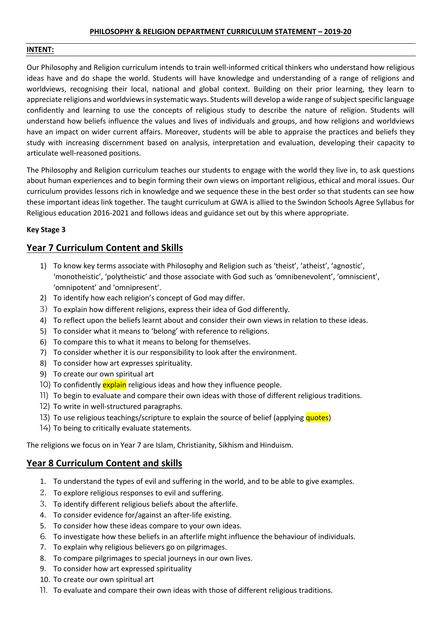## **PHILOSOPHY & RELIGION DEPARTMENT CURRICULUM STATEMENT – 2019-20**

### **INTENT:**

Our Philosophy and Religion curriculum intends to train well-informed critical thinkers who understand how religious ideas have and do shape the world. Students will have knowledge and understanding of a range of religions and worldviews, recognising their local, national and global context. Building on their prior learning, they learn to appreciate religions and worldviews in systematic ways. Students will develop a wide range of subject specific language confidently and learning to use the concepts of religious study to describe the nature of religion. Students will understand how beliefs influence the values and lives of individuals and groups, and how religions and worldviews have an impact on wider current affairs. Moreover, students will be able to appraise the practices and beliefs they study with increasing discernment based on analysis, interpretation and evaluation, developing their capacity to articulate well-reasoned positions.

The Philosophy and Religion curriculum teaches our students to engage with the world they live in, to ask questions about human experiences and to begin forming their own views on important religious, ethical and moral issues. Our curriculum provides lessons rich in knowledge and we sequence these in the best order so that students can see how these important ideas link together. The taught curriculum at GWA is allied to the Swindon Schools Agree Syllabus for Religious education 2016-2021 and follows ideas and guidance set out by this where appropriate.

## **Key Stage 3**

## **Year 7 Curriculum Content and Skills**

- 1) To know key terms associate with Philosophy and Religion such as 'theist', 'atheist', 'agnostic', 'monotheistic', 'polytheistic' and those associate with God such as 'omnibenevolent', 'omniscient', 'omnipotent' and 'omnipresent'.
- 2) To identify how each religion's concept of God may differ.
- 3) To explain how different religions, express their idea of God differently.
- 4) To reflect upon the beliefs learnt about and consider their own views in relation to these ideas.
- 5) To consider what it means to 'belong' with reference to religions.
- 6) To compare this to what it means to belong for themselves.
- 7) To consider whether it is our responsibility to look after the environment.
- 8) To consider how art expresses spirituality.
- 9) To create our own spiritual art
- 10) To confidently explain religious ideas and how they influence people.
- 11) To begin to evaluate and compare their own ideas with those of different religious traditions.
- 12) To write in well-structured paragraphs.
- 13) To use religious teachings/scripture to explain the source of belief (applying quotes)
- 14) To being to critically evaluate statements.

The religions we focus on in Year 7 are Islam, Christianity, Sikhism and Hinduism.

## **Year 8 Curriculum Content and skills**

- 1. To understand the types of evil and suffering in the world, and to be able to give examples.
- 2. To explore religious responses to evil and suffering.
- 3. To identify different religious beliefs about the afterlife.
- 4. To consider evidence for/against an after-life existing.
- 5. To consider how these ideas compare to your own ideas.
- 6. To investigate how these beliefs in an afterlife might influence the behaviour of individuals.
- 7. To explain why religious believers go on pilgrimages.
- 8. To compare pilgrimages to special journeys in our own lives.
- 9. To consider how art expressed spirituality
- 10. To create our own spiritual art
- 11. To evaluate and compare their own ideas with those of different religious traditions.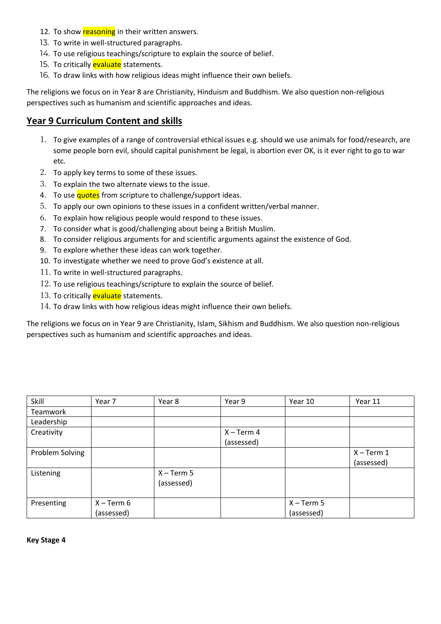- 12. To show reasoning in their written answers.
- 13. To write in well-structured paragraphs.
- 14. To use religious teachings/scripture to explain the source of belief.
- 15. To critically evaluate statements.
- 16. To draw links with how religious ideas might influence their own beliefs.

The religions we focus on in Year 8 are Christianity, Hinduism and Buddhism. We also question non-religious perspectives such as humanism and scientific approaches and ideas.

# **Year 9 Curriculum Content and skills**

- 1. To give examples of a range of controversial ethical issues e.g. should we use animals for food/research, are some people born evil, should capital punishment be legal, is abortion ever OK, is it ever right to go to war etc.
- 2. To apply key terms to some of these issues.
- 3. To explain the two alternate views to the issue.
- 4. To use quotes from scripture to challenge/support ideas.
- 5. To apply our own opinions to these issues in a confident written/verbal manner.
- 6. To explain how religious people would respond to these issues.
- 7. To consider what is good/challenging about being a British Muslim.
- 8. To consider religious arguments for and scientific arguments against the existence of God.
- 9. To explore whether these ideas can work together.
- 10. To investigate whether we need to prove God's existence at all.
- 11. To write in well-structured paragraphs.
- 12. To use religious teachings/scripture to explain the source of belief.
- 13. To critically evaluate statements.
- 14. To draw links with how religious ideas might influence their own beliefs.

The religions we focus on in Year 9 are Christianity, Islam, Sikhism and Buddhism. We also question non-religious perspectives such as humanism and scientific approaches and ideas.

| Skill           | Year 7       | Year 8       | Year 9       | Year 10      | Year 11      |
|-----------------|--------------|--------------|--------------|--------------|--------------|
| Teamwork        |              |              |              |              |              |
| Leadership      |              |              |              |              |              |
| Creativity      |              |              | $X - Term 4$ |              |              |
|                 |              |              | (assessed)   |              |              |
| Problem Solving |              |              |              |              | $X - Term 1$ |
|                 |              |              |              |              | (assessed)   |
| Listening       |              | $X - Term 5$ |              |              |              |
|                 |              | (assessed)   |              |              |              |
|                 |              |              |              |              |              |
| Presenting      | $X - Term 6$ |              |              | $X - Term 5$ |              |
|                 | (assessed)   |              |              | (assessed)   |              |

**Key Stage 4**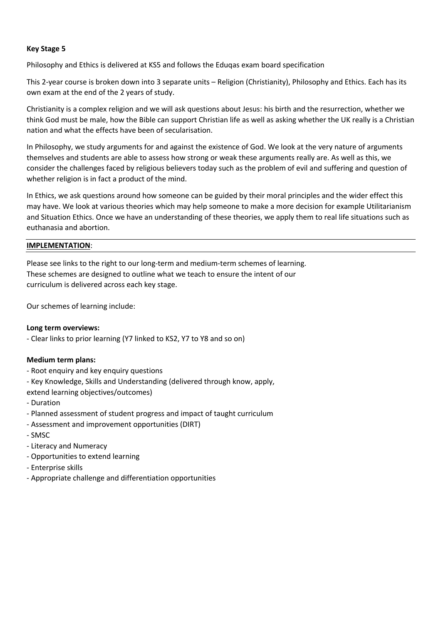## **Key Stage 5**

Philosophy and Ethics is delivered at KS5 and follows the Eduqas exam board specification

This 2-year course is broken down into 3 separate units – Religion (Christianity), Philosophy and Ethics. Each has its own exam at the end of the 2 years of study.

Christianity is a complex religion and we will ask questions about Jesus: his birth and the resurrection, whether we think God must be male, how the Bible can support Christian life as well as asking whether the UK really is a Christian nation and what the effects have been of secularisation.

In Philosophy, we study arguments for and against the existence of God. We look at the very nature of arguments themselves and students are able to assess how strong or weak these arguments really are. As well as this, we consider the challenges faced by religious believers today such as the problem of evil and suffering and question of whether religion is in fact a product of the mind.

In Ethics, we ask questions around how someone can be guided by their moral principles and the wider effect this may have. We look at various theories which may help someone to make a more decision for example Utilitarianism and Situation Ethics. Once we have an understanding of these theories, we apply them to real life situations such as euthanasia and abortion.

## **IMPLEMENTATION**:

Please see links to the right to our long-term and medium-term schemes of learning. These schemes are designed to outline what we teach to ensure the intent of our curriculum is delivered across each key stage.

Our schemes of learning include:

## **Long term overviews:**

- Clear links to prior learning (Y7 linked to KS2, Y7 to Y8 and so on)

## **Medium term plans:**

- Root enquiry and key enquiry questions
- Key Knowledge, Skills and Understanding (delivered through know, apply,

extend learning objectives/outcomes)

- Duration
- Planned assessment of student progress and impact of taught curriculum
- Assessment and improvement opportunities (DIRT)
- SMSC
- Literacy and Numeracy
- Opportunities to extend learning
- Enterprise skills
- Appropriate challenge and differentiation opportunities